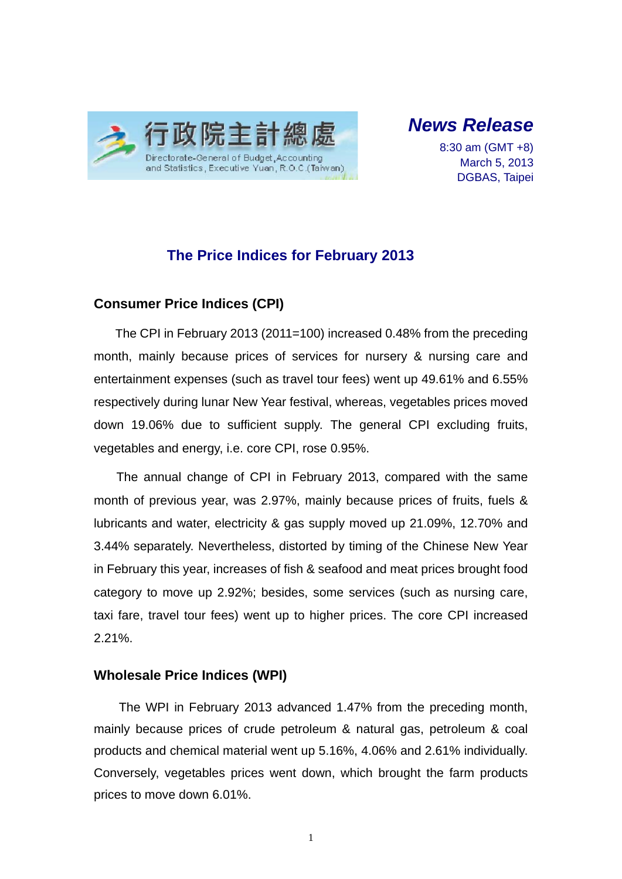

*News Release* 

8:30 am (GMT +8) March 5, 2013 DGBAS, Taipei

## **The Price Indices for February 2013**

### **Consumer Price Indices (CPI)**

The CPI in February 2013 (2011=100) increased 0.48% from the preceding month, mainly because prices of services for nursery & nursing care and entertainment expenses (such as travel tour fees) went up 49.61% and 6.55% respectively during lunar New Year festival, whereas, vegetables prices moved down 19.06% due to sufficient supply. The general CPI excluding fruits, vegetables and energy, i.e. core CPI, rose 0.95%.

The annual change of CPI in February 2013, compared with the same month of previous year, was 2.97%, mainly because prices of fruits, fuels & lubricants and water, electricity & gas supply moved up 21.09%, 12.70% and 3.44% separately. Nevertheless, distorted by timing of the Chinese New Year in February this year, increases of fish & seafood and meat prices brought food category to move up 2.92%; besides, some services (such as nursing care, taxi fare, travel tour fees) went up to higher prices. The core CPI increased 2.21%.

### **Wholesale Price Indices (WPI)**

The WPI in February 2013 advanced 1.47% from the preceding month, mainly because prices of crude petroleum & natural gas, petroleum & coal products and chemical material went up 5.16%, 4.06% and 2.61% individually. Conversely, vegetables prices went down, which brought the farm products prices to move down 6.01%.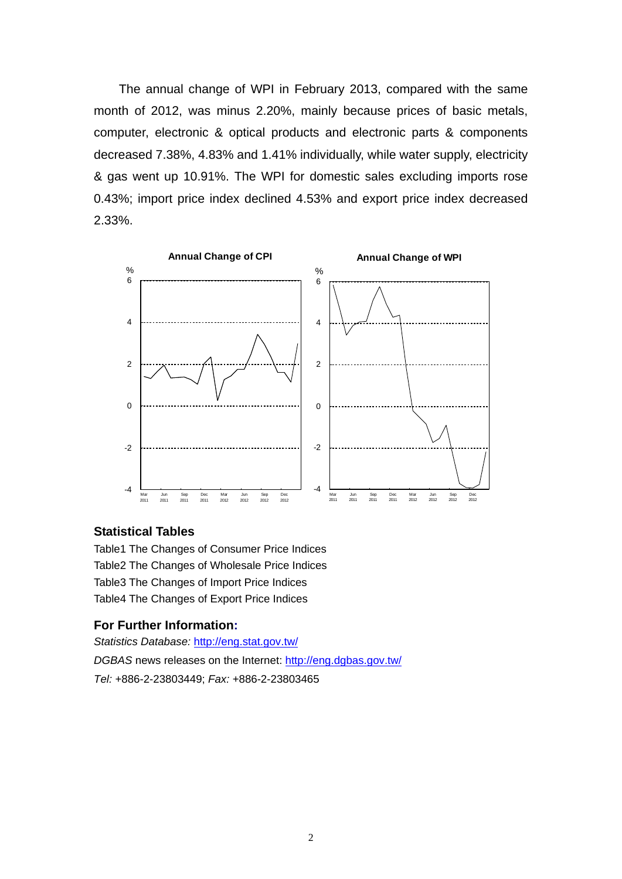The annual change of WPI in February 2013, compared with the same month of 2012, was minus 2.20%, mainly because prices of basic metals, computer, electronic & optical products and electronic parts & components decreased 7.38%, 4.83% and 1.41% individually, while water supply, electricity & gas went up 10.91%. The WPI for domestic sales excluding imports rose 0.43%; import price index declined 4.53% and export price index decreased 2.33%.



#### **Statistical Tables**

Table1 The Changes of Consumer Price Indices Table2 The Changes of Wholesale Price Indices Table3 The Changes of Import Price Indices Table4 The Changes of Export Price Indices

#### **For Further Information:**

*Statistics Database:* http://eng.stat.gov.tw/ *DGBAS* news releases on the Internet: http://eng.dgbas.gov.tw/ *Tel:* +886-2-23803449; *Fax:* +886-2-23803465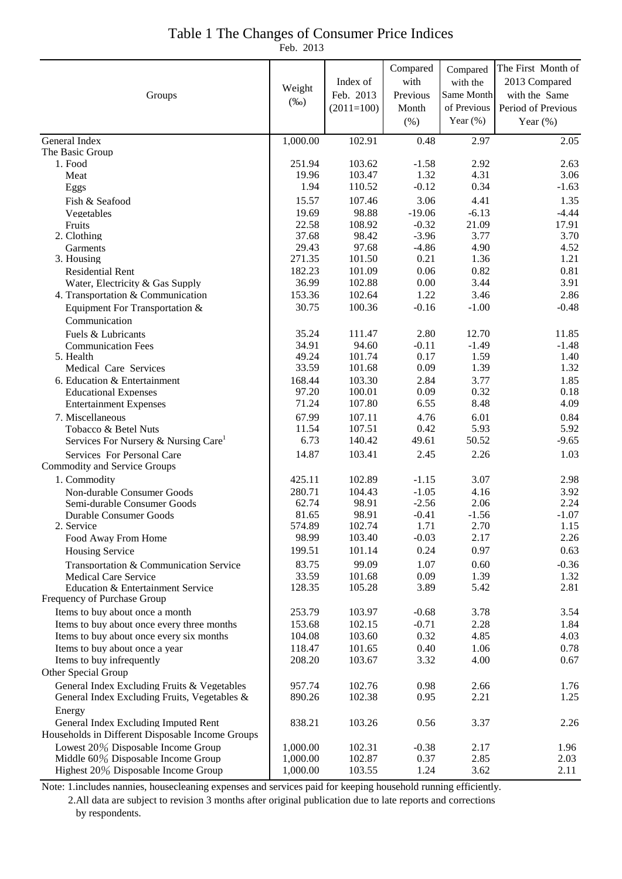# Table 1 The Changes of Consumer Price Indices

Feb. 2013

| Groups                                                | Weight<br>$(\%0)$ | Index of<br>Feb. 2013<br>$(2011=100)$ | Compared<br>with<br>Previous<br>Month<br>(% ) | Compared<br>with the<br>Same Month<br>of Previous<br>Year (%) | The First Month of<br>2013 Compared<br>with the Same<br>Period of Previous<br>Year $(\%)$ |
|-------------------------------------------------------|-------------------|---------------------------------------|-----------------------------------------------|---------------------------------------------------------------|-------------------------------------------------------------------------------------------|
| General Index                                         | 1,000.00          | 102.91                                | 0.48                                          | 2.97                                                          | 2.05                                                                                      |
| The Basic Group                                       |                   |                                       |                                               |                                                               |                                                                                           |
| 1. Food                                               | 251.94            | 103.62                                | $-1.58$                                       | 2.92                                                          | 2.63                                                                                      |
| Meat                                                  | 19.96             | 103.47                                | 1.32                                          | 4.31                                                          | 3.06                                                                                      |
| Eggs                                                  | 1.94              | 110.52                                | $-0.12$                                       | 0.34                                                          | $-1.63$                                                                                   |
| Fish & Seafood                                        | 15.57             | 107.46                                | 3.06                                          | 4.41                                                          | 1.35                                                                                      |
| Vegetables                                            | 19.69             | 98.88                                 | $-19.06$                                      | $-6.13$                                                       | $-4.44$                                                                                   |
| Fruits                                                | 22.58             | 108.92                                | $-0.32$                                       | 21.09                                                         | 17.91                                                                                     |
| 2. Clothing                                           | 37.68             | 98.42<br>97.68                        | $-3.96$<br>$-4.86$                            | 3.77<br>4.90                                                  | 3.70                                                                                      |
| Garments<br>3. Housing                                | 29.43<br>271.35   | 101.50                                | 0.21                                          | 1.36                                                          | 4.52<br>1.21                                                                              |
| <b>Residential Rent</b>                               | 182.23            | 101.09                                | 0.06                                          | 0.82                                                          | 0.81                                                                                      |
| Water, Electricity & Gas Supply                       | 36.99             | 102.88                                | 0.00                                          | 3.44                                                          | 3.91                                                                                      |
| 4. Transportation & Communication                     | 153.36            | 102.64                                | 1.22                                          | 3.46                                                          | 2.86                                                                                      |
| Equipment For Transportation &                        | 30.75             | 100.36                                | $-0.16$                                       | $-1.00$                                                       | $-0.48$                                                                                   |
| Communication                                         |                   |                                       |                                               |                                                               |                                                                                           |
| Fuels & Lubricants                                    | 35.24             | 111.47                                | 2.80                                          | 12.70                                                         | 11.85                                                                                     |
| <b>Communication Fees</b>                             | 34.91             | 94.60                                 | $-0.11$                                       | $-1.49$                                                       | $-1.48$                                                                                   |
| 5. Health                                             | 49.24             | 101.74                                | 0.17                                          | 1.59                                                          | 1.40                                                                                      |
| Medical Care Services                                 | 33.59             | 101.68                                | 0.09                                          | 1.39                                                          | 1.32                                                                                      |
| 6. Education & Entertainment                          | 168.44            | 103.30                                | 2.84                                          | 3.77                                                          | 1.85                                                                                      |
| <b>Educational Expenses</b>                           | 97.20             | 100.01                                | 0.09                                          | 0.32                                                          | 0.18                                                                                      |
| <b>Entertainment Expenses</b>                         | 71.24             | 107.80                                | 6.55                                          | 8.48                                                          | 4.09                                                                                      |
| 7. Miscellaneous                                      | 67.99             | 107.11                                | 4.76                                          | 6.01                                                          | 0.84                                                                                      |
| Tobacco & Betel Nuts                                  | 11.54             | 107.51                                | 0.42                                          | 5.93                                                          | 5.92                                                                                      |
| Services For Nursery & Nursing Care <sup>1</sup>      | 6.73              | 140.42                                | 49.61                                         | 50.52                                                         | $-9.65$                                                                                   |
| Services For Personal Care                            | 14.87             | 103.41                                | 2.45                                          | 2.26                                                          | 1.03                                                                                      |
| Commodity and Service Groups                          |                   |                                       |                                               |                                                               |                                                                                           |
| 1. Commodity                                          | 425.11            | 102.89                                | $-1.15$                                       | 3.07                                                          | 2.98                                                                                      |
| Non-durable Consumer Goods                            | 280.71            | 104.43                                | $-1.05$<br>$-2.56$                            | 4.16                                                          | 3.92                                                                                      |
| Semi-durable Consumer Goods<br>Durable Consumer Goods | 62.74<br>81.65    | 98.91<br>98.91                        | $-0.41$                                       | 2.06<br>$-1.56$                                               | 2.24<br>$-1.07$                                                                           |
| 2. Service                                            | 574.89            | 102.74                                | 1.71                                          | 2.70                                                          | 1.15                                                                                      |
| Food Away From Home                                   | 98.99             | 103.40                                | $-0.03$                                       | 2.17                                                          | 2.26                                                                                      |
| <b>Housing Service</b>                                | 199.51            | 101.14                                | 0.24                                          | 0.97                                                          | 0.63                                                                                      |
| Transportation & Communication Service                | 83.75             | 99.09                                 | 1.07                                          | 0.60                                                          | $-0.36$                                                                                   |
| <b>Medical Care Service</b>                           | 33.59             | 101.68                                | 0.09                                          | 1.39                                                          | 1.32                                                                                      |
| Education & Entertainment Service                     | 128.35            | 105.28                                | 3.89                                          | 5.42                                                          | 2.81                                                                                      |
| Frequency of Purchase Group                           |                   |                                       |                                               |                                                               |                                                                                           |
| Items to buy about once a month                       | 253.79            | 103.97                                | $-0.68$                                       | 3.78                                                          | 3.54                                                                                      |
| Items to buy about once every three months            | 153.68            | 102.15                                | $-0.71$                                       | 2.28                                                          | 1.84                                                                                      |
| Items to buy about once every six months              | 104.08            | 103.60                                | 0.32                                          | 4.85                                                          | 4.03                                                                                      |
| Items to buy about once a year                        | 118.47            | 101.65                                | 0.40                                          | 1.06                                                          | 0.78                                                                                      |
| Items to buy infrequently                             | 208.20            | 103.67                                | 3.32                                          | 4.00                                                          | 0.67                                                                                      |
| Other Special Group                                   |                   |                                       |                                               |                                                               |                                                                                           |
| General Index Excluding Fruits & Vegetables           | 957.74            | 102.76                                | 0.98                                          | 2.66                                                          | 1.76                                                                                      |
| General Index Excluding Fruits, Vegetables &          | 890.26            | 102.38                                | 0.95                                          | 2.21                                                          | 1.25                                                                                      |
| Energy<br>General Index Excluding Imputed Rent        | 838.21            | 103.26                                | 0.56                                          | 3.37                                                          | 2.26                                                                                      |
| Households in Different Disposable Income Groups      |                   |                                       |                                               |                                                               |                                                                                           |
| Lowest 20% Disposable Income Group                    | 1,000.00          | 102.31                                | $-0.38$                                       | 2.17                                                          | 1.96                                                                                      |
| Middle 60% Disposable Income Group                    | 1,000.00          | 102.87                                | 0.37                                          | 2.85                                                          | 2.03                                                                                      |
| Highest 20% Disposable Income Group                   | 1,000.00          | 103.55                                | 1.24                                          | 3.62                                                          | 2.11                                                                                      |

Note: 1.includes nannies, housecleaning expenses and services paid for keeping household running efficiently. 2.All data are subject to revision 3 months after original publication due to late reports and corrections by respondents.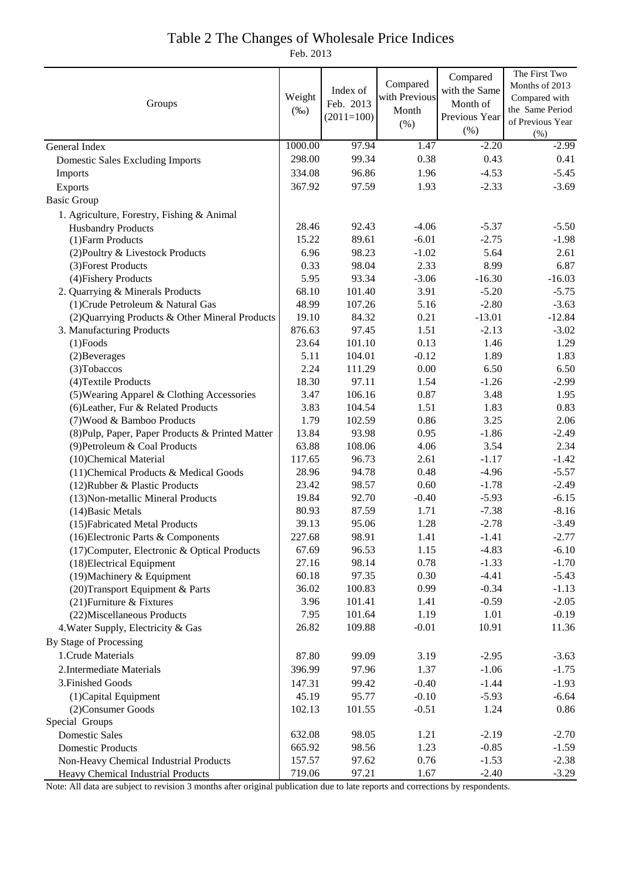# Table 2 The Changes of Wholesale Price Indices

Feb. 2013

|                                                  |         |              |               | Compared      | The First Two    |
|--------------------------------------------------|---------|--------------|---------------|---------------|------------------|
| Groups                                           |         | Index of     | Compared      | with the Same | Months of 2013   |
|                                                  |         | Feb. 2013    | with Previous | Month of      | Compared with    |
|                                                  | $(\%0)$ | $(2011=100)$ | Month         | Previous Year | the Same Period  |
|                                                  |         |              | (% )          | (% )          | of Previous Year |
|                                                  | 1000.00 |              |               |               | (%)              |
| General Index                                    |         | 97.94        | 1.47          | $-2.20$       | $-2.99$          |
| <b>Domestic Sales Excluding Imports</b>          | 298.00  | 99.34        | 0.38          | 0.43          | 0.41             |
| Imports                                          | 334.08  | 96.86        | 1.96          | $-4.53$       | $-5.45$          |
| Exports                                          | 367.92  | 97.59        | 1.93          | $-2.33$       | $-3.69$          |
| <b>Basic Group</b>                               |         |              |               |               |                  |
| 1. Agriculture, Forestry, Fishing & Animal       |         |              |               |               |                  |
| <b>Husbandry Products</b>                        | 28.46   | 92.43        | $-4.06$       | $-5.37$       | $-5.50$          |
| (1) Farm Products                                | 15.22   | 89.61        | $-6.01$       | $-2.75$       | $-1.98$          |
| (2) Poultry & Livestock Products                 | 6.96    | 98.23        | $-1.02$       | 5.64          | 2.61             |
| (3) Forest Products                              | 0.33    | 98.04        | 2.33          | 8.99          | 6.87             |
| (4) Fishery Products                             | 5.95    | 93.34        | $-3.06$       | $-16.30$      | $-16.03$         |
| 2. Quarrying & Minerals Products                 | 68.10   | 101.40       | 3.91          | $-5.20$       | $-5.75$          |
| (1) Crude Petroleum & Natural Gas                | 48.99   | 107.26       | 5.16          | $-2.80$       | $-3.63$          |
| (2) Quarrying Products & Other Mineral Products  | 19.10   | 84.32        | 0.21          | $-13.01$      | $-12.84$         |
| 3. Manufacturing Products                        | 876.63  | 97.45        | 1.51          | $-2.13$       | $-3.02$          |
| $(1)$ Foods                                      | 23.64   | 101.10       | 0.13          | 1.46          | 1.29             |
| (2) Beverages                                    | 5.11    | 104.01       | $-0.12$       | 1.89          | 1.83             |
| (3) Tobaccos                                     | 2.24    | 111.29       | 0.00          | 6.50          | 6.50             |
| (4) Textile Products                             | 18.30   | 97.11        | 1.54          | $-1.26$       | $-2.99$          |
| (5) Wearing Apparel & Clothing Accessories       | 3.47    | 106.16       | 0.87          | 3.48          | 1.95             |
| (6) Leather, Fur & Related Products              | 3.83    | 104.54       | 1.51          | 1.83          | 0.83             |
| (7) Wood & Bamboo Products                       | 1.79    | 102.59       | 0.86          | 3.25          | 2.06             |
| (8) Pulp, Paper, Paper Products & Printed Matter | 13.84   | 93.98        | 0.95          | $-1.86$       | $-2.49$          |
| (9) Petroleum & Coal Products                    | 63.88   | 108.06       | 4.06          | 3.54          | 2.34             |
| (10)Chemical Material                            | 117.65  | 96.73        | 2.61          | $-1.17$       | $-1.42$          |
| (11) Chemical Products & Medical Goods           | 28.96   | 94.78        | 0.48          | $-4.96$       | $-5.57$          |
| (12) Rubber & Plastic Products                   | 23.42   | 98.57        | 0.60          | $-1.78$       | $-2.49$          |
| (13) Non-metallic Mineral Products               | 19.84   | 92.70        | $-0.40$       | $-5.93$       | $-6.15$          |
| (14) Basic Metals                                | 80.93   | 87.59        | 1.71          | $-7.38$       | $-8.16$          |
| (15) Fabricated Metal Products                   | 39.13   | 95.06        | 1.28          | $-2.78$       | $-3.49$          |
| (16) Electronic Parts & Components               | 227.68  | 98.91        | 1.41          | $-1.41$       | $-2.77$          |
| (17) Computer, Electronic & Optical Products     | 67.69   | 96.53        | 1.15          | $-4.83$       | $-6.10$          |
| (18) Electrical Equipment                        | 27.16   | 98.14        | 0.78          | $-1.33$       | $-1.70$          |
| $(19)$ Machinery & Equipment                     | 60.18   | 97.35        | 0.30          | $-4.41$       | $-5.43$          |
| (20) Transport Equipment & Parts                 | 36.02   | 100.83       | 0.99          | $-0.34$       | $-1.13$          |
| (21) Furniture & Fixtures                        | 3.96    | 101.41       | 1.41          | $-0.59$       | $-2.05$          |
| (22) Miscellaneous Products                      | 7.95    | 101.64       | 1.19          | 1.01          | $-0.19$          |
| 4. Water Supply, Electricity & Gas               | 26.82   | 109.88       | $-0.01$       | 10.91         | 11.36            |
| By Stage of Processing                           |         |              |               |               |                  |
| 1. Crude Materials                               | 87.80   | 99.09        | 3.19          | $-2.95$       | $-3.63$          |
| 2. Intermediate Materials                        | 396.99  | 97.96        | 1.37          | $-1.06$       | $-1.75$          |
| 3. Finished Goods                                | 147.31  | 99.42        | $-0.40$       | $-1.44$       | $-1.93$          |
| (1) Capital Equipment                            | 45.19   | 95.77        | $-0.10$       | $-5.93$       | $-6.64$          |
| (2) Consumer Goods                               | 102.13  | 101.55       | $-0.51$       | 1.24          | 0.86             |
| Special Groups                                   |         |              |               |               |                  |
| <b>Domestic Sales</b>                            | 632.08  | 98.05        | 1.21          | $-2.19$       | $-2.70$          |
| <b>Domestic Products</b>                         | 665.92  | 98.56        | 1.23          | $-0.85$       | $-1.59$          |
| Non-Heavy Chemical Industrial Products           | 157.57  | 97.62        | 0.76          | $-1.53$       | $-2.38$          |
| Heavy Chemical Industrial Products               | 719.06  | 97.21        | 1.67          | $-2.40$       | $-3.29$          |

Note: All data are subject to revision 3 months after original publication due to late reports and corrections by respondents.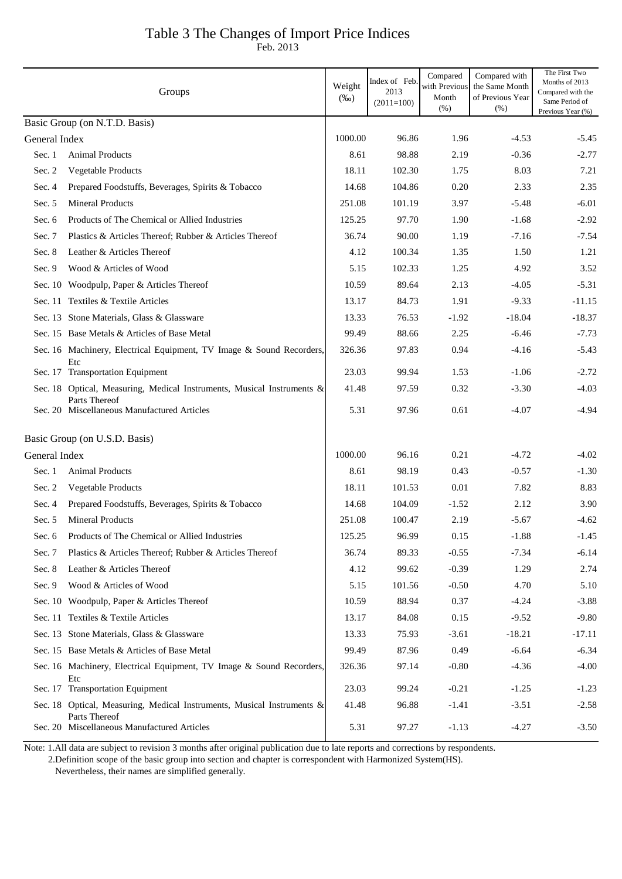## Table 3 The Changes of Import Price Indices

Feb. 2013

|               | Groups                                                                                  | Weight<br>$(\%0)$ | Index of Feb.<br>2013<br>$(2011=100)$ | Compared<br>with Previous<br>Month<br>(% ) | Compared with<br>the Same Month<br>of Previous Year<br>(% ) | The First Two<br>Months of 2013<br>Compared with the<br>Same Period of<br>Previous Year (%) |
|---------------|-----------------------------------------------------------------------------------------|-------------------|---------------------------------------|--------------------------------------------|-------------------------------------------------------------|---------------------------------------------------------------------------------------------|
|               | Basic Group (on N.T.D. Basis)                                                           |                   |                                       |                                            |                                                             |                                                                                             |
| General Index |                                                                                         | 1000.00           | 96.86                                 | 1.96                                       | $-4.53$                                                     | $-5.45$                                                                                     |
| Sec. 1        | <b>Animal Products</b>                                                                  | 8.61              | 98.88                                 | 2.19                                       | $-0.36$                                                     | $-2.77$                                                                                     |
| Sec. 2        | Vegetable Products                                                                      | 18.11             | 102.30                                | 1.75                                       | 8.03                                                        | 7.21                                                                                        |
| Sec. 4        | Prepared Foodstuffs, Beverages, Spirits & Tobacco                                       | 14.68             | 104.86                                | 0.20                                       | 2.33                                                        | 2.35                                                                                        |
| Sec. $5$      | <b>Mineral Products</b>                                                                 | 251.08            | 101.19                                | 3.97                                       | $-5.48$                                                     | $-6.01$                                                                                     |
| Sec. 6        | Products of The Chemical or Allied Industries                                           | 125.25            | 97.70                                 | 1.90                                       | $-1.68$                                                     | $-2.92$                                                                                     |
| Sec. 7        | Plastics & Articles Thereof; Rubber & Articles Thereof                                  | 36.74             | 90.00                                 | 1.19                                       | $-7.16$                                                     | $-7.54$                                                                                     |
| Sec. 8        | Leather & Articles Thereof                                                              | 4.12              | 100.34                                | 1.35                                       | 1.50                                                        | 1.21                                                                                        |
| Sec. 9        | Wood & Articles of Wood                                                                 | 5.15              | 102.33                                | 1.25                                       | 4.92                                                        | 3.52                                                                                        |
|               | Sec. 10 Woodpulp, Paper & Articles Thereof                                              | 10.59             | 89.64                                 | 2.13                                       | $-4.05$                                                     | $-5.31$                                                                                     |
|               | Sec. 11 Textiles & Textile Articles                                                     | 13.17             | 84.73                                 | 1.91                                       | $-9.33$                                                     | $-11.15$                                                                                    |
|               | Sec. 13 Stone Materials, Glass & Glassware                                              | 13.33             | 76.53                                 | $-1.92$                                    | $-18.04$                                                    | $-18.37$                                                                                    |
|               | Sec. 15 Base Metals & Articles of Base Metal                                            | 99.49             | 88.66                                 | 2.25                                       | $-6.46$                                                     | $-7.73$                                                                                     |
|               | Sec. 16 Machinery, Electrical Equipment, TV Image & Sound Recorders,                    | 326.36            | 97.83                                 | 0.94                                       | $-4.16$                                                     | $-5.43$                                                                                     |
|               | Etc<br>Sec. 17 Transportation Equipment                                                 | 23.03             | 99.94                                 | 1.53                                       | $-1.06$                                                     | $-2.72$                                                                                     |
|               | Sec. 18 Optical, Measuring, Medical Instruments, Musical Instruments &                  | 41.48             | 97.59                                 | 0.32                                       | $-3.30$                                                     | $-4.03$                                                                                     |
|               | Parts Thereof<br>Sec. 20 Miscellaneous Manufactured Articles                            | 5.31              | 97.96                                 | 0.61                                       | $-4.07$                                                     | $-4.94$                                                                                     |
|               | Basic Group (on U.S.D. Basis)                                                           |                   |                                       |                                            |                                                             |                                                                                             |
| General Index |                                                                                         | 1000.00           | 96.16                                 | 0.21                                       | $-4.72$                                                     | $-4.02$                                                                                     |
| Sec. 1        | Animal Products                                                                         | 8.61              | 98.19                                 | 0.43                                       | $-0.57$                                                     | $-1.30$                                                                                     |
| Sec. 2        | Vegetable Products                                                                      | 18.11             | 101.53                                | 0.01                                       | 7.82                                                        | 8.83                                                                                        |
| Sec. 4        | Prepared Foodstuffs, Beverages, Spirits & Tobacco                                       | 14.68             | 104.09                                | $-1.52$                                    | 2.12                                                        | 3.90                                                                                        |
| Sec. $5$      | <b>Mineral Products</b>                                                                 | 251.08            | 100.47                                | 2.19                                       | $-5.67$                                                     | $-4.62$                                                                                     |
| Sec. 6        | Products of The Chemical or Allied Industries                                           | 125.25            | 96.99                                 | 0.15                                       | $-1.88$                                                     | $-1.45$                                                                                     |
| Sec. 7        | Plastics & Articles Thereof; Rubber & Articles Thereof                                  | 36.74             | 89.33                                 | $-0.55$                                    | $-7.34$                                                     | $-6.14$                                                                                     |
| Sec. 8        | Leather & Articles Thereof                                                              | 4.12              | 99.62                                 | $-0.39$                                    | 1.29                                                        | 2.74                                                                                        |
| Sec. 9        | Wood & Articles of Wood                                                                 | 5.15              | 101.56                                | $-0.50$                                    | 4.70                                                        | 5.10                                                                                        |
|               | Sec. 10 Woodpulp, Paper & Articles Thereof                                              | 10.59             | 88.94                                 | 0.37                                       | $-4.24$                                                     | $-3.88$                                                                                     |
|               | Sec. 11 Textiles & Textile Articles                                                     | 13.17             | 84.08                                 | 0.15                                       | $-9.52$                                                     | $-9.80$                                                                                     |
|               | Sec. 13 Stone Materials, Glass & Glassware                                              | 13.33             | 75.93                                 | $-3.61$                                    | $-18.21$                                                    | $-17.11$                                                                                    |
|               | Sec. 15 Base Metals & Articles of Base Metal                                            | 99.49             | 87.96                                 | 0.49                                       | $-6.64$                                                     | $-6.34$                                                                                     |
|               | Sec. 16 Machinery, Electrical Equipment, TV Image & Sound Recorders,<br>Etc             | 326.36            | 97.14                                 | $-0.80$                                    | $-4.36$                                                     | $-4.00$                                                                                     |
|               | Sec. 17 Transportation Equipment                                                        | 23.03             | 99.24                                 | $-0.21$                                    | $-1.25$                                                     | $-1.23$                                                                                     |
|               | Sec. 18 Optical, Measuring, Medical Instruments, Musical Instruments &<br>Parts Thereof | 41.48             | 96.88                                 | $-1.41$                                    | $-3.51$                                                     | $-2.58$                                                                                     |
|               | Sec. 20 Miscellaneous Manufactured Articles                                             | 5.31              | 97.27                                 | $-1.13$                                    | $-4.27$                                                     | $-3.50$                                                                                     |

Note: 1.All data are subject to revision 3 months after original publication due to late reports and corrections by respondents.

2.Definition scope of the basic group into section and chapter is correspondent with Harmonized System(HS).

Nevertheless, their names are simplified generally.